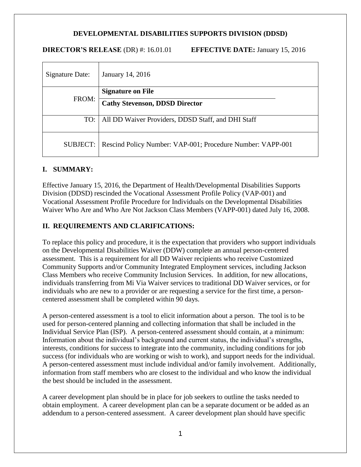## **DEVELOPMENTAL DISABILITIES SUPPORTS DIVISION (DDSD)**

#### **DIRECTOR'S RELEASE** (DR) #: 16.01.01 **EFFECTIVE DATE:** January 15, 2016

| Signature Date: | January 14, 2016                                                      |
|-----------------|-----------------------------------------------------------------------|
| FROM:           | <b>Signature on File</b>                                              |
|                 | <b>Cathy Stevenson, DDSD Director</b>                                 |
|                 | TO:   All DD Waiver Providers, DDSD Staff, and DHI Staff              |
|                 | SUBJECT:   Rescind Policy Number: VAP-001; Procedure Number: VAPP-001 |

### **I. SUMMARY:**

Effective January 15, 2016, the Department of Health/Developmental Disabilities Supports Division (DDSD) rescinded the Vocational Assessment Profile Policy (VAP-001) and Vocational Assessment Profile Procedure for Individuals on the Developmental Disabilities Waiver Who Are and Who Are Not Jackson Class Members (VAPP-001) dated July 16, 2008.

### **II. REQUIREMENTS AND CLARIFICATIONS:**

To replace this policy and procedure, it is the expectation that providers who support individuals on the Developmental Disabilities Waiver (DDW) complete an annual person-centered assessment. This is a requirement for all DD Waiver recipients who receive Customized Community Supports and/or Community Integrated Employment services, including Jackson Class Members who receive Community Inclusion Services. In addition, for new allocations, individuals transferring from Mi Via Waiver services to traditional DD Waiver services, or for individuals who are new to a provider or are requesting a service for the first time, a personcentered assessment shall be completed within 90 days.

A person-centered assessment is a tool to elicit information about a person. The tool is to be used for person-centered planning and collecting information that shall be included in the Individual Service Plan (ISP). A person-centered assessment should contain, at a minimum: Information about the individual's background and current status, the individual's strengths, interests, conditions for success to integrate into the community, including conditions for job success (for individuals who are working or wish to work), and support needs for the individual. A person-centered assessment must include individual and/or family involvement. Additionally, information from staff members who are closest to the individual and who know the individual the best should be included in the assessment.

A career development plan should be in place for job seekers to outline the tasks needed to obtain employment. A career development plan can be a separate document or be added as an addendum to a person-centered assessment. A career development plan should have specific